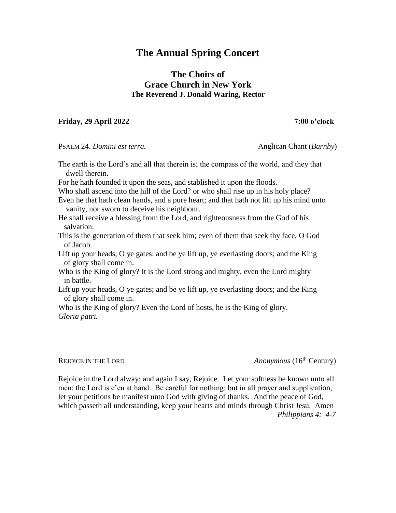# **The Annual Spring Concert**

## **The Choirs of Grace Church in New York The Reverend J. Donald Waring, Rector**

## **Friday, 29 April 2022 7:00 o'clock**

PSALM 24. *Domini est terra.* Anglican Chant (*Barnby*)

The earth is the Lord's and all that therein is; the compass of the world, and they that dwell therein. For he hath founded it upon the seas, and stablished it upon the floods. Who shall ascend into the hill of the Lord? or who shall rise up in his holy place? Even he that hath clean hands, and a pure heart; and that hath not lift up his mind unto vanity, nor sworn to deceive his neighbour. He shall receive a blessing from the Lord, and righteousness from the God of his salvation. This is the generation of them that seek him; even of them that seek thy face, O God of Jacob. Lift up your heads, O ye gates: and be ye lift up, ye everlasting doors; and the King of glory shall come in.

Who is the King of glory? It is the Lord strong and mighty, even the Lord mighty in battle.

Lift up your heads, O ye gates; and be ye lift up, ye everlasting doors; and the King of glory shall come in.

Who is the King of glory? Even the Lord of hosts, he is the King of glory. *Gloria patri.*

REJOICE IN THE LORD *Anonymous* (16<sup>th</sup> Century)

Rejoice in the Lord alway; and again I say, Rejoice. Let your softness be known unto all men: the Lord is e'en at hand. Be careful for nothing: but in all prayer and supplication, let your petitions be manifest unto God with giving of thanks. And the peace of God, which passeth all understanding, keep your hearts and minds through Christ Jesu. Amen *Philippians 4: 4-7*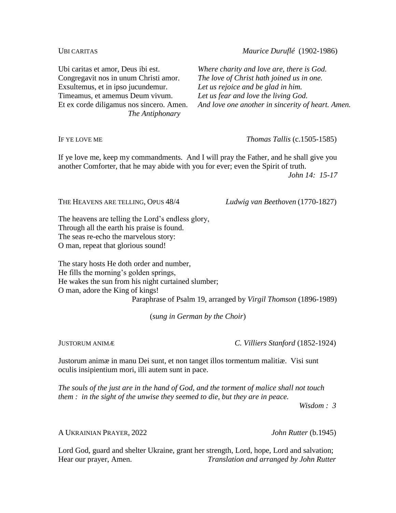Ubi caritas et amor, Deus ibi est. *Where charity and love are, there is God.* Congregavit nos in unum Christi amor. *The love of Christ hath joined us in one.* Exsultemus, et in ipso jucundemur. *Let us rejoice and be glad in him.* Timeamus, et amemus Deum vivum. *Let us fear and love the living God. The Antiphonary*

Et ex corde diligamus nos sincero. Amen. *And love one another in sincerity of heart. Amen.*

IF YE LOVE ME *Thomas Tallis* (c.1505-1585)

If ye love me, keep my commandments. And I will pray the Father, and he shall give you another Comforter, that he may abide with you for ever; even the Spirit of truth.

*John 14: 15-17*

THE HEAVENS ARE TELLING, OPUS 48/4 *Ludwig van Beethoven* (1770-1827)

The heavens are telling the Lord's endless glory, Through all the earth his praise is found. The seas re-echo the marvelous story: O man, repeat that glorious sound!

The stary hosts He doth order and number, He fills the morning's golden springs, He wakes the sun from his night curtained slumber; O man, adore the King of kings! Paraphrase of Psalm 19, arranged by *Virgil Thomson* (1896-1989)

(*sung in German by the Choir*)

JUSTORUM ANIMÆ *C. Villiers Stanford* (1852-1924)

Justorum animæ in manu Dei sunt, et non tanget illos tormentum malitiæ. Visi sunt oculis insipientium mori, illi autem sunt in pace.

*The souls of the just are in the hand of God, and the torment of malice shall not touch them : in the sight of the unwise they seemed to die, but they are in peace.*

*Wisdom : 3*

A UKRAINIAN PRAYER, 2022 *John Rutter* (b.1945)

Lord God, guard and shelter Ukraine, grant her strength, Lord, hope, Lord and salvation; Hear our prayer, Amen. *Translation and arranged by John Rutter*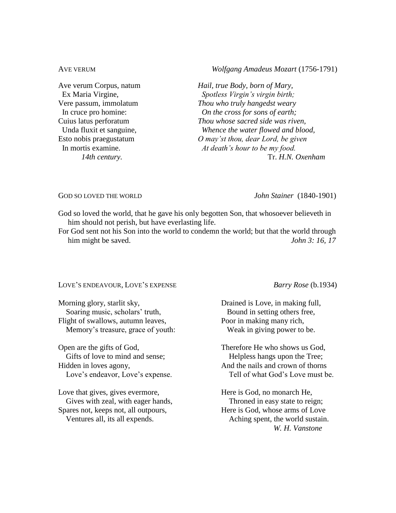AVE VERUM *Wolfgang Amadeus Mozart* (1756-1791)

Ave verum Corpus, natum *Hail, true Body, born of Mary,* Ex Maria Virgine, *Spotless Virgin's virgin birth;* Vere passum, immolatum *Thou who truly hangedst weary* In cruce pro homine: *On the cross for sons of earth;* Cuius latus perforatum *Thou whose sacred side was riven,* Unda fluxit et sanguine, *Whence the water flowed and blood,* Esto nobis praegustatum *O may'st thou, dear Lord, be given* In mortis examine. *At death's hour to be my food. 14th century.* Tr. *H.N. Oxenham*

GOD SO LOVED THE WORLD *John Stainer* (1840-1901)

God so loved the world, that he gave his only begotten Son, that whosoever believeth in him should not perish, but have everlasting life.

For God sent not his Son into the world to condemn the world; but that the world through him might be saved. *John 3: 16, 17*

LOVE'S ENDEAVOUR, LOVE'S EXPENSE *Barry Rose* (b.1934)

Morning glory, starlit sky,  $\Box$  Drained is Love, in making full, Soaring music, scholars' truth, Bound in setting others free, Flight of swallows, autumn leaves, Poor in making many rich, Memory's treasure, grace of youth: Weak in giving power to be.

Open are the gifts of God, Therefore He who shows us God, Gifts of love to mind and sense; Helpless hangs upon the Tree; Hidden in loves agony, And the nails and crown of thorns

Love that gives, gives evermore, Here is God, no monarch He, Gives with zeal, with eager hands, Throned in easy state to reign; Spares not, keeps not, all outpours, Here is God, whose arms of Love

Love's endeavor, Love's expense. Tell of what God's Love must be.

Ventures all, its all expends. Aching spent, the world sustain.  *W. H. Vanstone*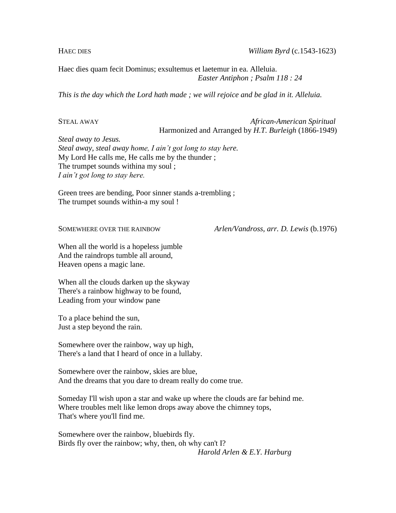Haec dies quam fecit Dominus; exsultemus et laetemur in ea. Alleluia. *Easter Antiphon ; Psalm 118 : 24*

*This is the day which the Lord hath made ; we will rejoice and be glad in it. Alleluia.*

STEAL AWAY *African-American Spiritual* Harmonized and Arranged by *H.T. Burleigh* (1866-1949)

*Steal away to Jesus. Steal away, steal away home, I ain't got long to stay here.* My Lord He calls me, He calls me by the thunder ; The trumpet sounds withina my soul ; *I ain't got long to stay here.*

Green trees are bending, Poor sinner stands a-trembling ; The trumpet sounds within-a my soul !

SOMEWHERE OVER THE RAINBOW *Arlen/Vandross, arr. D. Lewis* (b.1976)

When all the world is a hopeless jumble And the raindrops tumble all around, Heaven opens a magic lane.

When all the clouds darken up the skyway There's a rainbow highway to be found, Leading from your window pane

To a place behind the sun, Just a step beyond the rain.

Somewhere over the rainbow, way up high, There's a land that I heard of once in a lullaby.

Somewhere over the rainbow, skies are blue, And the dreams that you dare to dream really do come true.

Someday I'll wish upon a star and wake up where the clouds are far behind me. Where troubles melt like lemon drops away above the chimney tops, That's where you'll find me.

Somewhere over the rainbow, bluebirds fly. Birds fly over the rainbow; why, then, oh why can't I? *Harold Arlen & E.Y. Harburg*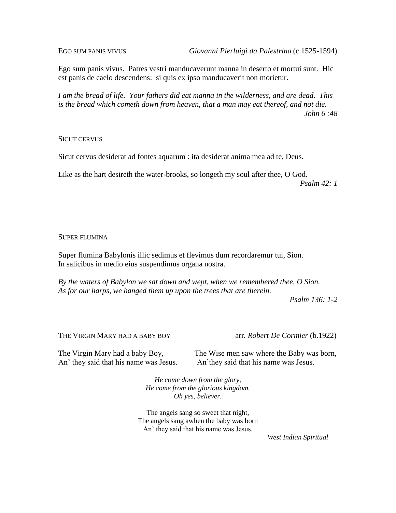Ego sum panis vivus. Patres vestri manducaverunt manna in deserto et mortui sunt. Hic est panis de caelo descendens: si quis ex ipso manducaverit non morietur.

*I am the bread of life. Your fathers did eat manna in the wilderness, and are dead. This is the bread which cometh down from heaven, that a man may eat thereof, and not die. John 6 :48*

### SICUT CERVUS

Sicut cervus desiderat ad fontes aquarum : ita desiderat anima mea ad te, Deus.

Like as the hart desireth the water-brooks, so longeth my soul after thee, O God.

*Psalm 42: 1*

## SUPER FLUMINA

Super flumina Babylonis illic sedimus et flevimus dum recordaremur tui, Sion. In salicibus in medio eius suspendimus organa nostra.

*By the waters of Babylon we sat down and wept, when we remembered thee, O Sion. As for our harps, we hanged them up upon the trees that are therein.*

*Psalm 136: 1-2*

THE VIRGIN MARY HAD A BABY BOY arr*. Robert De Cormier* (b.1922)

The Virgin Mary had a baby Boy, The Wise men saw where the Baby was born, An' they said that his name was Jesus. An'they said that his name was Jesus.

> *He come down from the glory, He come from the glorious kingdom. Oh yes, believer.*

The angels sang so sweet that night, The angels sang awhen the baby was born An' they said that his name was Jesus.

 *West Indian Spiritual*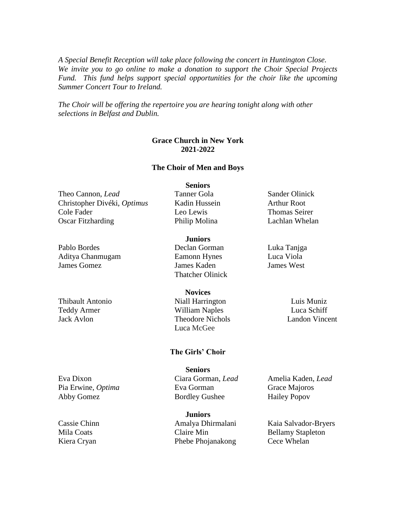*A Special Benefit Reception will take place following the concert in Huntington Close. We invite you to go online to make a donation to support the Choir Special Projects Fund. This fund helps support special opportunities for the choir like the upcoming Summer Concert Tour to Ireland.*

*The Choir will be offering the repertoire you are hearing tonight along with other selections in Belfast and Dublin.*

## **Grace Church in New York 2021-2022**

## **The Choir of Men and Boys**

Theo Cannon, *Lead* Tanner Gola Sander Olinick Christopher Divéki, *Optimus* Kadin Hussein Arthur Root Cole Fader Leo Lewis Thomas Seirer Oscar Fitzharding Philip Molina Lachlan Whelan

Pablo Bordes Declan Gorman Luka Tanjga Aditya Chanmugam Eamonn Hynes Luca Viola James Gomez James Kaden James West

Eva Dixon Ciara Gorman, *Lead* Amelia Kaden, *Lead* Pia Erwine, *Optima* Eva Gorman Eva Gorman Grace Majoros

**Seniors**

**Juniors** Thatcher Olinick

**Novices** Thibault Antonio Niall Harrington Luis Muniz Teddy Armer William Naples Luca Schiff Jack Avlon Theodore Nichols Landon Vincent Luca McGee

## **The Girls' Choir**

**Seniors** Abby Gomez Bordley Gushee Hailey Popov

**Juniors** Cassie Chinn Amalya Dhirmalani Kaia Salvador-Bryers Mila Coats Claire Min Bellamy Stapleton Kiera Cryan Phebe Phojanakong Cece Whelan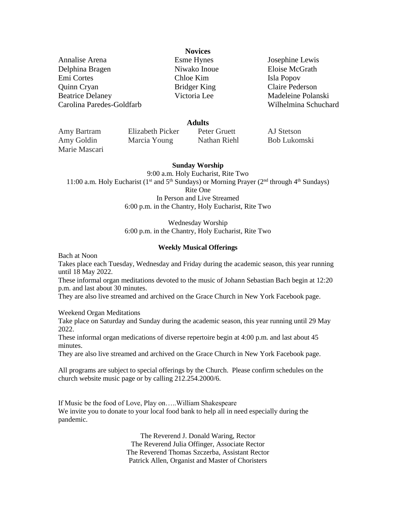Annalise Arena Esme Hynes Josephine Lewis Delphina Bragen Niwako Inoue Eloise McGrath Emi Cortes Chloe Kim Isla Popov Quinn Cryan Bridger King Claire Pederson Beatrice Delaney **State State State State State State State State State State State State State State State State State State State State State State State State State State State State State State State State State State** Carolina Paredes-Goldfarb Wilhelmina Schuchard

**Novices**

#### **Adults**

Marie Mascari

Amy Bartram Elizabeth Picker Peter Gruett AJ Stetson Amy Goldin Marcia Young Nathan Riehl Bob Lukomski

#### **Sunday Worship**

9:00 a.m. Holy Eucharist, Rite Two 11:00 a.m. Holy Eucharist ( $1<sup>st</sup>$  and  $5<sup>th</sup>$  Sundays) or Morning Prayer ( $2<sup>nd</sup>$  through  $4<sup>th</sup>$  Sundays) Rite One In Person and Live Streamed 6:00 p.m. in the Chantry, Holy Eucharist, Rite Two

> Wednesday Worship 6:00 p.m. in the Chantry, Holy Eucharist, Rite Two

#### **Weekly Musical Offerings**

Bach at Noon

Takes place each Tuesday, Wednesday and Friday during the academic season, this year running until 18 May 2022.

These informal organ meditations devoted to the music of Johann Sebastian Bach begin at 12:20 p.m. and last about 30 minutes.

They are also live streamed and archived on the Grace Church in New York Facebook page.

Weekend Organ Meditations

Take place on Saturday and Sunday during the academic season, this year running until 29 May 2022.

These informal organ medications of diverse repertoire begin at 4:00 p.m. and last about 45 minutes.

They are also live streamed and archived on the Grace Church in New York Facebook page.

All programs are subject to special offerings by the Church. Please confirm schedules on the church website music page or by calling 212.254.2000/6.

If Music be the food of Love, Play on…..William Shakespeare We invite you to donate to your local food bank to help all in need especially during the pandemic.

> The Reverend J. Donald Waring, Rector The Reverend Julia Offinger, Associate Rector The Reverend Thomas Szczerba, Assistant Rector Patrick Allen, Organist and Master of Choristers